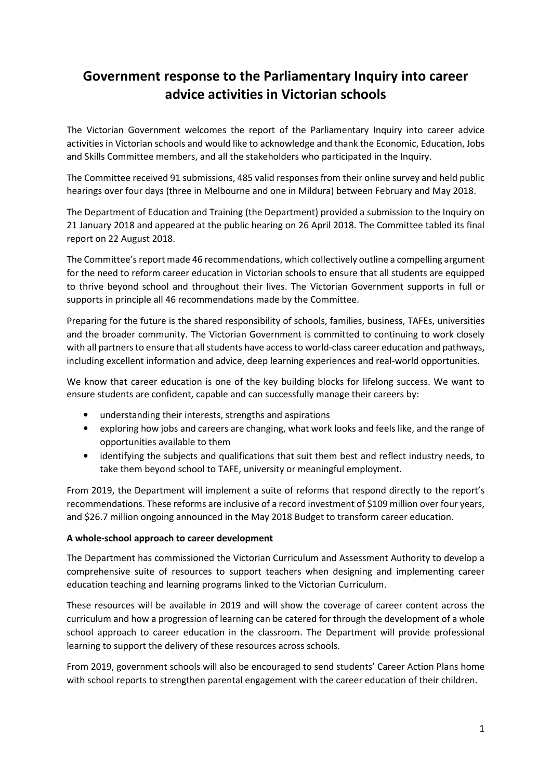# Government response to the Parliamentary Inquiry into career advice activities in Victorian schools

The Victorian Government welcomes the report of the Parliamentary Inquiry into career advice activities in Victorian schools and would like to acknowledge and thank the Economic, Education, Jobs and Skills Committee members, and all the stakeholders who participated in the Inquiry.

The Committee received 91 submissions, 485 valid responses from their online survey and held public hearings over four days (three in Melbourne and one in Mildura) between February and May 2018.

The Department of Education and Training (the Department) provided a submission to the Inquiry on 21 January 2018 and appeared at the public hearing on 26 April 2018. The Committee tabled its final report on 22 August 2018.

The Committee's report made 46 recommendations, which collectively outline a compelling argument for the need to reform career education in Victorian schools to ensure that all students are equipped to thrive beyond school and throughout their lives. The Victorian Government supports in full or supports in principle all 46 recommendations made by the Committee.

Preparing for the future is the shared responsibility of schools, families, business, TAFEs, universities and the broader community. The Victorian Government is committed to continuing to work closely with all partners to ensure that all students have access to world-class career education and pathways, including excellent information and advice, deep learning experiences and real-world opportunities.

We know that career education is one of the key building blocks for lifelong success. We want to ensure students are confident, capable and can successfully manage their careers by:

- understanding their interests, strengths and aspirations
- exploring how jobs and careers are changing, what work looks and feels like, and the range of opportunities available to them
- identifying the subjects and qualifications that suit them best and reflect industry needs, to take them beyond school to TAFE, university or meaningful employment.

From 2019, the Department will implement a suite of reforms that respond directly to the report's recommendations. These reforms are inclusive of a record investment of \$109 million over four years, and \$26.7 million ongoing announced in the May 2018 Budget to transform career education.

#### A whole-school approach to career development

The Department has commissioned the Victorian Curriculum and Assessment Authority to develop a comprehensive suite of resources to support teachers when designing and implementing career education teaching and learning programs linked to the Victorian Curriculum.

These resources will be available in 2019 and will show the coverage of career content across the curriculum and how a progression of learning can be catered for through the development of a whole school approach to career education in the classroom. The Department will provide professional learning to support the delivery of these resources across schools.

From 2019, government schools will also be encouraged to send students' Career Action Plans home with school reports to strengthen parental engagement with the career education of their children.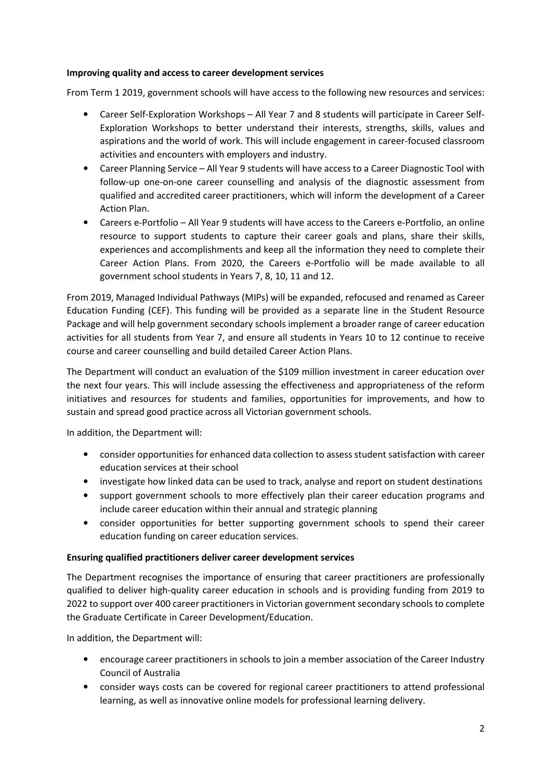### Improving quality and access to career development services

From Term 1 2019, government schools will have access to the following new resources and services:

- Career Self-Exploration Workshops All Year 7 and 8 students will participate in Career Self-Exploration Workshops to better understand their interests, strengths, skills, values and aspirations and the world of work. This will include engagement in career-focused classroom activities and encounters with employers and industry.
- Career Planning Service All Year 9 students will have access to a Career Diagnostic Tool with follow-up one-on-one career counselling and analysis of the diagnostic assessment from qualified and accredited career practitioners, which will inform the development of a Career Action Plan.
- Careers e-Portfolio All Year 9 students will have access to the Careers e-Portfolio, an online resource to support students to capture their career goals and plans, share their skills, experiences and accomplishments and keep all the information they need to complete their Career Action Plans. From 2020, the Careers e-Portfolio will be made available to all government school students in Years 7, 8, 10, 11 and 12.

From 2019, Managed Individual Pathways (MIPs) will be expanded, refocused and renamed as Career Education Funding (CEF). This funding will be provided as a separate line in the Student Resource Package and will help government secondary schools implement a broader range of career education activities for all students from Year 7, and ensure all students in Years 10 to 12 continue to receive course and career counselling and build detailed Career Action Plans.

The Department will conduct an evaluation of the \$109 million investment in career education over the next four years. This will include assessing the effectiveness and appropriateness of the reform initiatives and resources for students and families, opportunities for improvements, and how to sustain and spread good practice across all Victorian government schools.

In addition, the Department will:

- consider opportunities for enhanced data collection to assess student satisfaction with career education services at their school
- investigate how linked data can be used to track, analyse and report on student destinations
- support government schools to more effectively plan their career education programs and include career education within their annual and strategic planning
- consider opportunities for better supporting government schools to spend their career education funding on career education services.

#### Ensuring qualified practitioners deliver career development services

The Department recognises the importance of ensuring that career practitioners are professionally qualified to deliver high-quality career education in schools and is providing funding from 2019 to 2022 to support over 400 career practitioners in Victorian government secondary schools to complete the Graduate Certificate in Career Development/Education.

In addition, the Department will:

- encourage career practitioners in schools to join a member association of the Career Industry Council of Australia
- consider ways costs can be covered for regional career practitioners to attend professional learning, as well as innovative online models for professional learning delivery.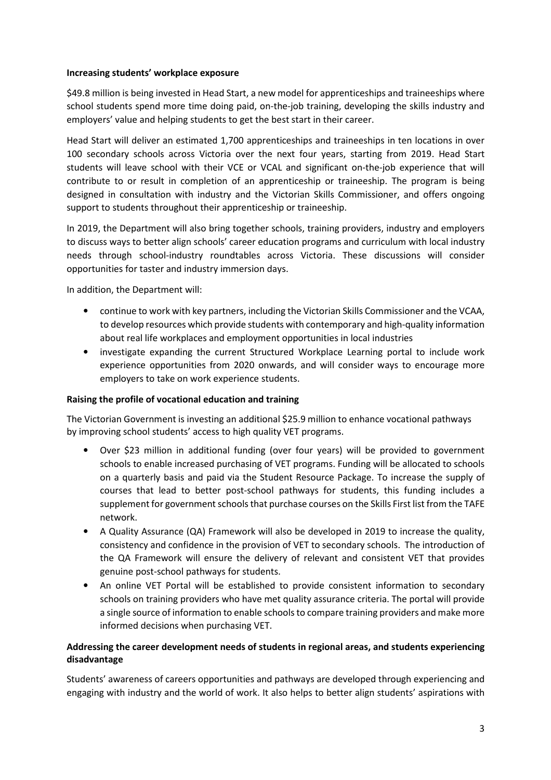#### Increasing students' workplace exposure

\$49.8 million is being invested in Head Start, a new model for apprenticeships and traineeships where school students spend more time doing paid, on-the-job training, developing the skills industry and employers' value and helping students to get the best start in their career.

Head Start will deliver an estimated 1,700 apprenticeships and traineeships in ten locations in over 100 secondary schools across Victoria over the next four years, starting from 2019. Head Start students will leave school with their VCE or VCAL and significant on-the-job experience that will contribute to or result in completion of an apprenticeship or traineeship. The program is being designed in consultation with industry and the Victorian Skills Commissioner, and offers ongoing support to students throughout their apprenticeship or traineeship.

In 2019, the Department will also bring together schools, training providers, industry and employers to discuss ways to better align schools' career education programs and curriculum with local industry needs through school-industry roundtables across Victoria. These discussions will consider opportunities for taster and industry immersion days.

In addition, the Department will:

- continue to work with key partners, including the Victorian Skills Commissioner and the VCAA, to develop resources which provide students with contemporary and high-quality information about real life workplaces and employment opportunities in local industries
- investigate expanding the current Structured Workplace Learning portal to include work experience opportunities from 2020 onwards, and will consider ways to encourage more employers to take on work experience students.

## Raising the profile of vocational education and training

The Victorian Government is investing an additional \$25.9 million to enhance vocational pathways by improving school students' access to high quality VET programs.

- Over \$23 million in additional funding (over four years) will be provided to government schools to enable increased purchasing of VET programs. Funding will be allocated to schools on a quarterly basis and paid via the Student Resource Package. To increase the supply of courses that lead to better post-school pathways for students, this funding includes a supplement for government schools that purchase courses on the Skills First list from the TAFE network.
- A Quality Assurance (QA) Framework will also be developed in 2019 to increase the quality, consistency and confidence in the provision of VET to secondary schools. The introduction of the QA Framework will ensure the delivery of relevant and consistent VET that provides genuine post-school pathways for students.
- An online VET Portal will be established to provide consistent information to secondary schools on training providers who have met quality assurance criteria. The portal will provide a single source of information to enable schools to compare training providers and make more informed decisions when purchasing VET.

# Addressing the career development needs of students in regional areas, and students experiencing disadvantage

Students' awareness of careers opportunities and pathways are developed through experiencing and engaging with industry and the world of work. It also helps to better align students' aspirations with